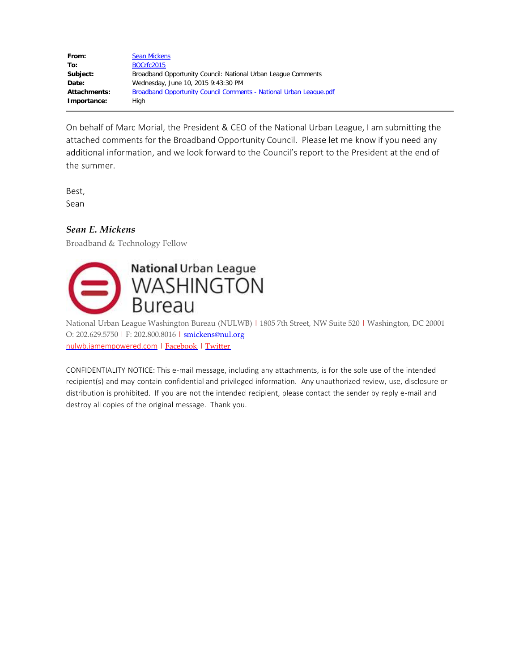| From:               | <b>Sean Mickens</b>                                                |
|---------------------|--------------------------------------------------------------------|
| To:                 | <b>BOCrfc2015</b>                                                  |
| Subject:            | Broadband Opportunity Council: National Urban League Comments      |
| Date:               | Wednesday, June 10, 2015 9:43:30 PM                                |
| <b>Attachments:</b> | Broadband Opportunity Council Comments - National Urban League.pdf |
| Importance:         | Hiah                                                               |

On behalf of Marc Morial, the President & CEO of the National Urban League, I am submitting the attached comments for the Broadband Opportunity Council. Please let me know if you need any additional information, and we look forward to the Council's report to the President at the end of the summer.

Best,

Sean

## *Sean E. Mickens*

Broadband & Technology Fellow



National Urban League Washington Bureau (NULWB) | 1805 7th Street, NW Suite 520 | Washington, DC 20001 O: 202.629.5750 | F: 202.800.8016 | [smickens@nul.org](mailto:smickens@nul.org) [nulwb.iamempowered.com](http://www.iamempowered.com/departments/policy-institute) | [Facebook](https://www.facebook.com/pages/National-Urban-League-Washington-Bureau/169470319925830) | [Twitter](https://twitter.com/NULpolicy)

CONFIDENTIALITY NOTICE: This e-mail message, including any attachments, is for the sole use of the intended recipient(s) and may contain confidential and privileged information. Any unauthorized review, use, disclosure or distribution is prohibited. If you are not the intended recipient, please contact the sender by reply e-mail and destroy all copies of the original message. Thank you.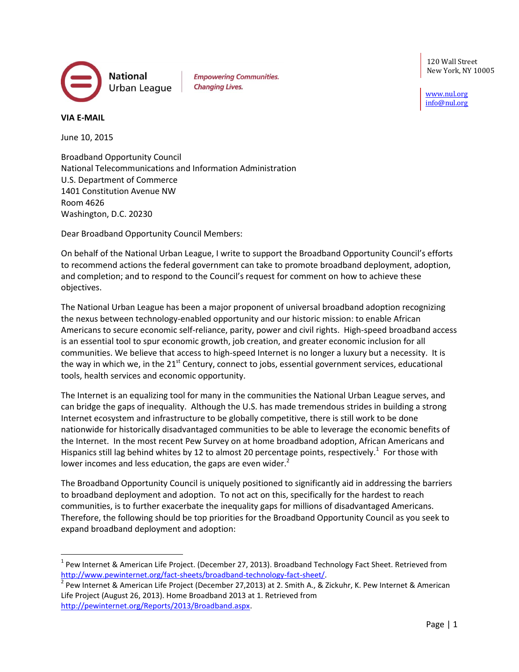National Urban League **Empowering Communities. Changing Lives.** 

120 Wall Street New York, NY 10005

[www.nul.org](http://www.nul.org/) [info@nul.org](mailto:info@nul.org)

**VIA E-MAIL**

l

June 10, 2015

Broadband Opportunity Council National Telecommunications and Information Administration U.S. Department of Commerce 1401 Constitution Avenue NW Room 4626 Washington, D.C. 20230

Dear Broadband Opportunity Council Members:

On behalf of the National Urban League, I write to support the Broadband Opportunity Council's efforts to recommend actions the federal government can take to promote broadband deployment, adoption, and completion; and to respond to the Council's request for comment on how to achieve these objectives.

The National Urban League has been a major proponent of universal broadband adoption recognizing the nexus between technology-enabled opportunity and our historic mission: to enable African Americans to secure economic self-reliance, parity, power and civil rights. High-speed broadband access is an essential tool to spur economic growth, job creation, and greater economic inclusion for all communities. We believe that access to high-speed Internet is no longer a luxury but a necessity. It is the way in which we, in the 21<sup>st</sup> Century, connect to jobs, essential government services, educational tools, health services and economic opportunity.

The Internet is an equalizing tool for many in the communities the National Urban League serves, and can bridge the gaps of inequality. Although the U.S. has made tremendous strides in building a strong Internet ecosystem and infrastructure to be globally competitive, there is still work to be done nationwide for historically disadvantaged communities to be able to leverage the economic benefits of the Internet. In the most recent Pew Survey on at home broadband adoption, African Americans and Hispanics still lag behind whites by 12 to almost 20 percentage points, respectively.<sup>1</sup> For those with lower incomes and less education, the gaps are even wider. $<sup>2</sup>$ </sup>

The Broadband Opportunity Council is uniquely positioned to significantly aid in addressing the barriers to broadband deployment and adoption. To not act on this, specifically for the hardest to reach communities, is to further exacerbate the inequality gaps for millions of disadvantaged Americans. Therefore, the following should be top priorities for the Broadband Opportunity Council as you seek to expand broadband deployment and adoption:

 $^{1}$  Pew Internet & American Life Project. (December 27, 2013). Broadband Technology Fact Sheet. Retrieved from [http://www.pewinternet.org/fact-sheets/broadband-technology-fact-sheet/.](http://www.pewinternet.org/fact-sheets/broadband-technology-fact-sheet/)

<sup>2</sup> Pew Internet & American Life Project (December 27,2013) at 2. Smith A., & Zickuhr, K. Pew Internet & American Life Project (August 26, 2013). Home Broadband 2013 at 1. Retrieved from [http://pewinternet.org/Reports/2013/Broadband.aspx.](http://pewinternet.org/Reports/2013/Broadband.aspx)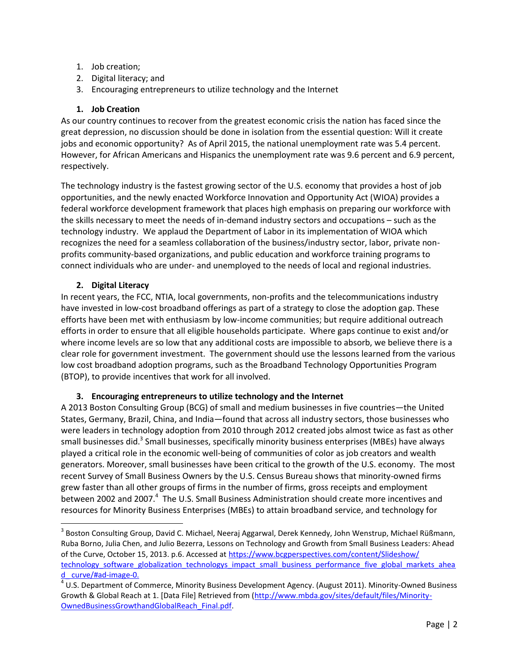- 1. Job creation;
- 2. Digital literacy; and
- 3. Encouraging entrepreneurs to utilize technology and the Internet

## **1. Job Creation**

As our country continues to recover from the greatest economic crisis the nation has faced since the great depression, no discussion should be done in isolation from the essential question: Will it create jobs and economic opportunity? As of April 2015, the national unemployment rate was 5.4 percent. However, for African Americans and Hispanics the unemployment rate was 9.6 percent and 6.9 percent, respectively.

The technology industry is the fastest growing sector of the U.S. economy that provides a host of job opportunities, and the newly enacted Workforce Innovation and Opportunity Act (WIOA) provides a federal workforce development framework that places high emphasis on preparing our workforce with the skills necessary to meet the needs of in-demand industry sectors and occupations – such as the technology industry. We applaud the Department of Labor in its implementation of WIOA which recognizes the need for a seamless collaboration of the business/industry sector, labor, private nonprofits community-based organizations, and public education and workforce training programs to connect individuals who are under- and unemployed to the needs of local and regional industries.

## **2. Digital Literacy**

 $\overline{\phantom{a}}$ 

In recent years, the FCC, NTIA, local governments, non-profits and the telecommunications industry have invested in low-cost broadband offerings as part of a strategy to close the adoption gap. These efforts have been met with enthusiasm by low-income communities; but require additional outreach efforts in order to ensure that all eligible households participate. Where gaps continue to exist and/or where income levels are so low that any additional costs are impossible to absorb, we believe there is a clear role for government investment. The government should use the lessons learned from the various low cost broadband adoption programs, such as the Broadband Technology Opportunities Program (BTOP), to provide incentives that work for all involved.

## **3. Encouraging entrepreneurs to utilize technology and the Internet**

A 2013 Boston Consulting Group (BCG) of small and medium businesses in five countries—the United States, Germany, Brazil, China, and India—found that across all industry sectors, those businesses who were leaders in technology adoption from 2010 through 2012 created jobs almost twice as fast as other small businesses did.<sup>3</sup> Small businesses, specifically minority business enterprises (MBEs) have always played a critical role in the economic well-being of communities of color as job creators and wealth generators. Moreover, small businesses have been critical to the growth of the U.S. economy. The most recent Survey of Small Business Owners by the U.S. Census Bureau shows that minority-owned firms grew faster than all other groups of firms in the number of firms, gross receipts and employment between 2002 and 2007.<sup>4</sup> The U.S. Small Business Administration should create more incentives and resources for Minority Business Enterprises (MBEs) to attain broadband service, and technology for

<sup>&</sup>lt;sup>3</sup> Boston Consulting Group, David C. Michael, Neeraj Aggarwal, Derek Kennedy, John Wenstrup, Michael Rüßmann, Ruba Borno, Julia Chen, and Julio Bezerra, Lessons on Technology and Growth from Small Business Leaders: Ahead of the Curve, October 15, 2013. p.6. Accessed a[t https://www.bcgperspectives.com/content/Slideshow/](https://www.bcgperspectives.com/content/Slideshow/%20technology_software_globalization_technologys_impact_small_business_performance_five_global_markets_ahead_%20curve/%23ad-image-0.)  [technology\\_software\\_globalization\\_technologys\\_impact\\_small\\_business\\_performance\\_five\\_global\\_markets\\_ahea](https://www.bcgperspectives.com/content/Slideshow/%20technology_software_globalization_technologys_impact_small_business_performance_five_global_markets_ahead_%20curve/%23ad-image-0.) [d\\_ curve/#ad-image-0.](https://www.bcgperspectives.com/content/Slideshow/%20technology_software_globalization_technologys_impact_small_business_performance_five_global_markets_ahead_%20curve/%23ad-image-0.)

<sup>&</sup>lt;sup>4</sup> U.S. Department of Commerce, Minority Business Development Agency. (August 2011). Minority-Owned Business Growth & Global Reach at 1. [Data File] Retrieved from [\(http://www.mbda.gov/sites/default/files/Minority-](http://www.mbda.gov/sites/default/files/Minority-OwnedBusinessGrowthandGlobalReach_Final.pdf)[OwnedBusinessGrowthandGlobalReach\\_Final.pdf.](http://www.mbda.gov/sites/default/files/Minority-OwnedBusinessGrowthandGlobalReach_Final.pdf)